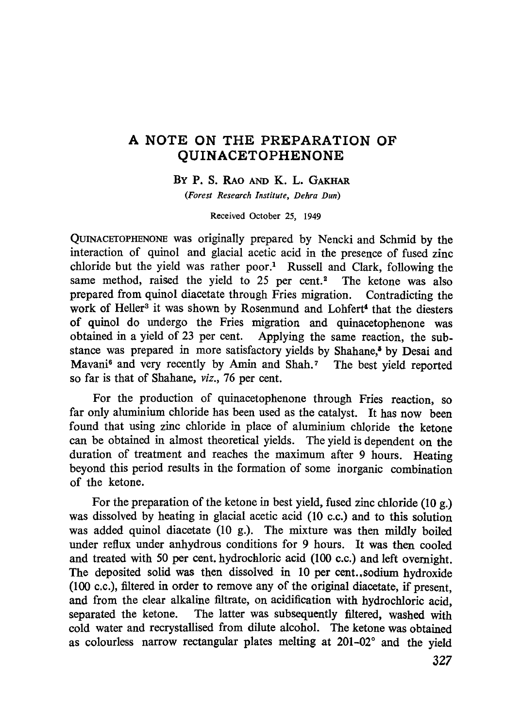## **A NOTE ON THE PREPARATION OF QUINACETOPHENONE**

## **BY P.** S. RAO AND K. L. GAKHAR

*(Forest Research Institute, Dehra Dun)*

Received October 25, 1949

QUINACETOPHENONE was originally prepared by Nencki and Schmid by the interaction of quinol and glacial acetic acid in the presence of fused zinc chloride but the yield was rather poor.' Russell and Clark, following the same method, raised the yield to 25 per cent.<sup>2</sup> The ketone was also prepared from quinol diacetate through Fries migration. Contradicting the work of Heller<sup>3</sup> it was shown by Rosenmund and Lohfert<sup>4</sup> that the diesters of quinol do undergo the Fries migration and quinacetophenone was obtained in a yield of 23 per cent. Applying the same reaction, the substance was prepared in more satisfactory yields by Shahane,<sup>5</sup> by Desai and Mavani<sup>6</sup> and very recently by Amin and Shah.<sup>7</sup> The best yield reported so far is that of Shahane, *viz.,* 76 per cent.

For the production of quinacetophenone through Fries reaction, so far only aluminium chloride has been used as the catalyst. It has now been found that using zinc chloride in place of aluminium chloride the ketone can be obtained in almost theoretical yields. The yield is dependent on the duration of treatment and reaches the maximum after 9 hours. Heating beyond this period results in the formation of some inorganic combination of the ketone.

For the preparation of the ketone in best yield, fused zinc chloride (10 g.) was dissolved by heating in glacial acetic acid (10 c.c.) and to this solution was added quinol diacetate (10 g.). The mixture was then mildly boiled under reflux under anhydrous conditions for 9 hours. It was then cooled and treated with 50 per cent, hydrochloric acid (100 c.c.) and left overnight. The deposited solid was then dissolved in 10 per cent. ,sodium hydroxide (100 c.c.), filtered in order to remove any of the original diacetate, if present, and from the clear alkaline filtrate, on acidification with hydrochloric acid, separated the ketone. The latter was subsequently filtered, washed with cold water and recrystallised from dilute alcohol. The ketone was obtained as colourless narrow rectangular plates melting at 201-02° and the yield